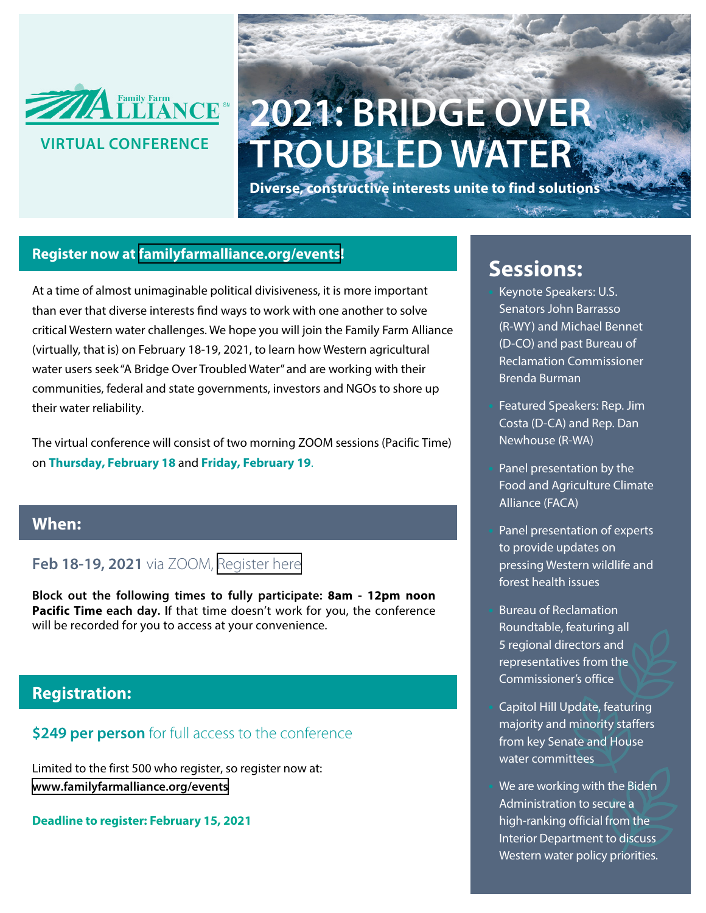

## **2021: BRIDGE OVER TROUBLED WATER**

**Diverse, constructive interests unite to find solutions**

#### **Register now at [familyfarmalliance.org/events](https://www.familyfarmalliance.org/events)!**

At a time of almost unimaginable political divisiveness, it is more important than ever that diverse interests find ways to work with one another to solve critical Western water challenges. We hope you will join the Family Farm Alliance (virtually, that is) on February 18-19, 2021, to learn how Western agricultural water users seek "A Bridge Over Troubled Water" and are working with their communities, federal and state governments, investors and NGOs to shore up their water reliability.

The virtual conference will consist of two morning ZOOM sessions (Pacific Time) on **Thursday, February 18** and **Friday, February 19**.

#### **When:**

#### **Feb 18-19, 2021** via ZOOM, [Register here](https://bit.ly/3oYYtKK)

**Block out the following times to fully participate: 8am - 12pm noon Pacific Time each day. I**f that time doesn't work for you, the conference will be recorded for you to access at your convenience.

#### **Registration:**

#### **\$249 per person** for full access to the conference

Limited to the first 500 who register, so register now at: **[www.familyfarmalliance.org/events](https://www.familyfarmalliance.org/events)** 

**Deadline to register: February 15, 2021**

### **Sessions:**

**•** Keynote Speakers: U.S. Senators John Barrasso (R-WY) and Michael Bennet (D-CO) and past Bureau of Reclamation Commissioner Brenda Burman

**•** Featured Speakers: Rep. Jim Costa (D-CA) and Rep. Dan Newhouse (R-WA)

**•** Panel presentation by the Food and Agriculture Climate Alliance (FACA)

**•** Panel presentation of experts to provide updates on pressing Western wildlife and forest health issues

**•** Bureau of Reclamation Roundtable, featuring all 5 regional directors and representatives from the Commissioner's office

**•** Capitol Hill Update, featuring majority and minority staffers from key Senate and House water committees

**•** We are working with the Biden Administration to secure a high-ranking official from the Interior Department to discuss Western water policy priorities.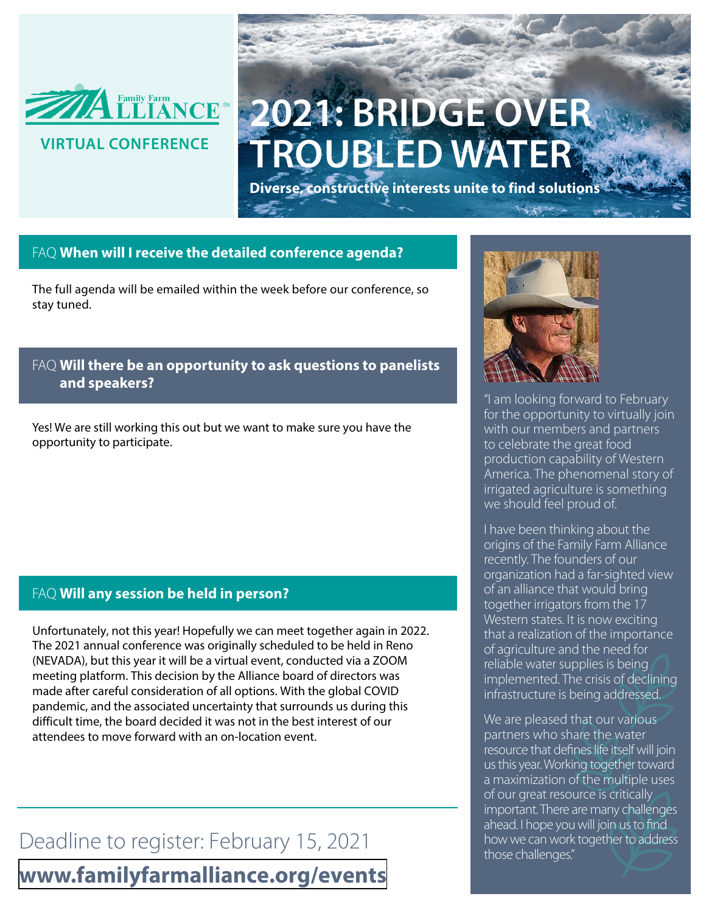

## **2021: BRIDGE OVER TROUBLED WATER**

**Diverse, constructive interests unite to find solutions**

#### FAQ **When will I receive the detailed conference agenda?**

The full agenda will be emailed within the week before our conference, so stay tuned.

#### FAQ **Will there be an opportunity to ask questions to panelists and speakers?**

Yes! We are still working this out but we want to make sure you have the opportunity to participate.

#### FAQ **Will any session be held in person?**

Unfortunately, not this year! Hopefully we can meet together again in 2022. The 2021 annual conference was originally scheduled to be held in Reno (NEVADA), but this year it will be a virtual event, conducted via a ZOOM meeting platform. This decision by the Alliance board of directors was made after careful consideration of all options. With the global COVID pandemic, and the associated uncertainty that surrounds us during this difficult time, the board decided it was not in the best interest of our attendees to move forward with an on-location event.

Deadline to register: February 15, 2021 **[www.familyfarmalliance.org/events](https://www.familyfarmalliance.org/events)**



"I am looking forward to February for the opportunity to virtually join with our members and partners to celebrate the great food production capability of Western America. The phenomenal story of irrigated agriculture is something we should feel proud of.

I have been thinking about the origins of the Family Farm Alliance recently. The founders of our organization had a far-sighted view of an alliance that would bring together irrigators from the 17 Western states. It is now exciting that a realization of the importance of agriculture and the need for reliable water supplies is being implemented. The crisis of declining infrastructure is being addressed.

We are pleased that our various partners who share the water resource that defines life itself will join us this year. Working together toward a maximization of the multiple uses of our great resource is critically important. There are many challenges ahead. I hope you will join us to find how we can work together to address those challenges."